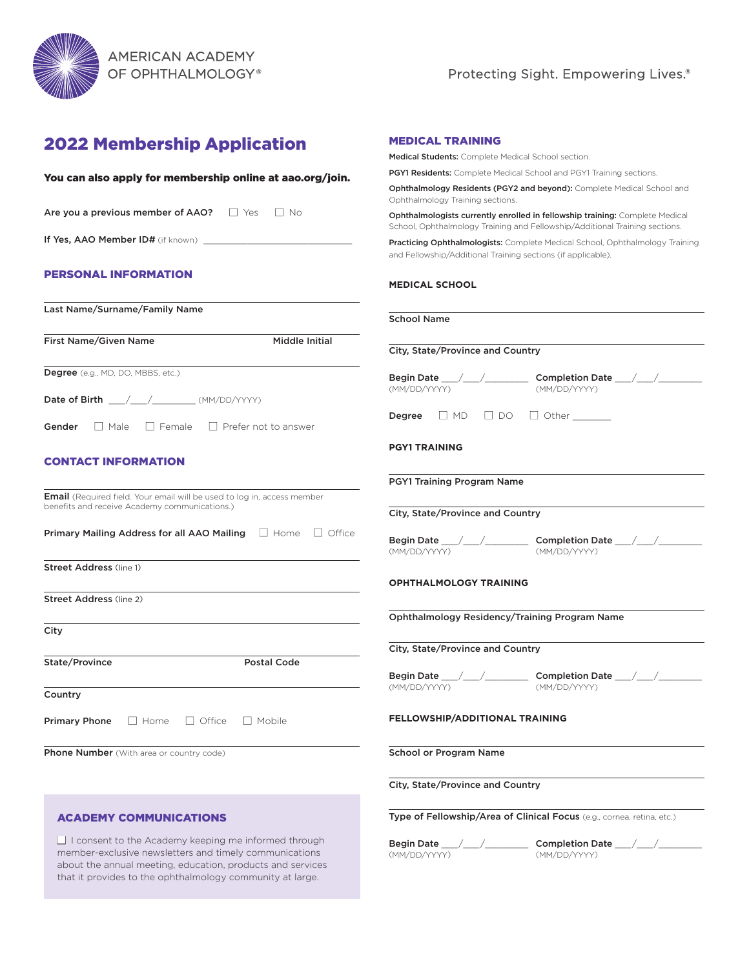

# 2022 Membership Application

| You can also apply for membership online at aao.org/join.                      | PGY1 Reside                    |
|--------------------------------------------------------------------------------|--------------------------------|
|                                                                                | Ophthalmol<br>Ophthalmok       |
| Are you a previous member of AAO? $\Box$ Yes $\Box$ No                         | Ophthalmol<br>School, Oph      |
|                                                                                | Practicing C<br>and Fellowsl   |
| <b>PERSONAL INFORMATION</b>                                                    | <b>MEDICAL</b>                 |
| Last Name/Surname/Family Name                                                  | <b>School Na</b>               |
| Middle Initial<br>First Name/Given Name                                        | City, State                    |
| Degree (e.g., MD, DO, MBBS, etc.)                                              | <b>Begin Date</b>              |
| Date of Birth $\_\_\/$ / $\_\$ (MM/DD/YYYY)                                    | (MM/DD/YY                      |
| <b>Gender</b> $\Box$ Male $\Box$ Female $\Box$ Prefer not to answer            | Degree                         |
|                                                                                | <b>PGY1 TRA</b>                |
| <b>CONTACT INFORMATION</b>                                                     |                                |
| <b>Email</b> (Required field. Your email will be used to log in, access member | <b>PGY1 Train</b>              |
| benefits and receive Academy communications.)                                  | City, State                    |
| Primary Mailing Address for all AAO Mailing $\Box$ Home $\Box$ Office          | <b>Begin Date</b><br>(MM/DD/YY |
| <b>Street Address (line 1)</b>                                                 |                                |
| Street Address (line 2)                                                        | <b>OPHTHAL</b>                 |
|                                                                                | Ophthalm                       |
| City                                                                           | City, State                    |
| State/Province<br>Postal Code                                                  |                                |
| Country                                                                        | <b>Begin Date</b><br>(MM/DD/YY |
| $\Box$ Office<br><b>Primary Phone</b><br>$\Box$ Home<br>$\Box$ Mobile          | <b>FELLOWS</b>                 |
| <b>Phone Number</b> (With area or country code)                                | School or                      |
|                                                                                | City, State                    |
| <b>ACADEMY COMMUNICATIONS</b>                                                  | Type of Fe                     |

 $\Box$  I consent to the Academy keeping me informed through member-exclusive newsletters and timely communications about the annual meeting, education, products and services that it provides to the ophthalmology community at large.

### MEDICAL TRAINING

Medical Students: Complete Medical School section.

ents: Complete Medical School and PGY1 Training sections.

ogy Residents (PGY2 and beyond): Complete Medical School and ogy Training sections.

ogists currently enrolled in fellowship training: Complete Medical sthalmology Training and Fellowship/Additional Training sections.

phthalmologists: Complete Medical School, Ophthalmology Training hip/Additional Training sections (if applicable).

#### **SCHOOL**

| <b>School Name</b> |  |
|--------------------|--|
|                    |  |

Province and Country! Begin Date \_\_\_\_/\_\_\_\_/\_\_\_\_\_\_\_\_\_\_\_ Completion Date \_\_\_\_/\_\_\_\_/\_\_\_\_\_\_\_\_\_\_\_\_\_\_\_\_\_\_\_\_\_ (MM/DD/YYYY) (MM/DD/YYYY) Degree ■ MD ■ DO ■ Other \_\_\_\_\_\_\_ **INING** ing Program Name  $\sqrt{\text{Province}}$  and Country Begin Date \_\_\_\_/\_\_\_\_/\_\_\_\_\_\_\_\_\_\_\_ Completion Date \_\_\_\_/\_\_\_\_/\_\_\_\_\_\_\_\_\_\_\_\_\_\_\_\_\_\_\_\_\_ (MM/DD/YYYY) (MM/DD/YYYY) **MOLOGY TRAINING** ology Residency/Training Program Name Province and Country Begin Date \_\_\_\_/\_\_\_\_/\_\_\_\_\_\_\_\_\_\_\_ Completion Date \_\_\_\_/\_\_\_\_/\_\_\_\_\_\_\_\_\_\_\_\_\_\_\_\_\_\_\_\_\_ (MM/DD/YYYY) (MM/DD/YYYY) **HIP/ADDITIONAL TRAINING** Program Name Province and Country **Illowship/Area of Clinical Focus** (e.g., cornea, retina, etc.)

(MM/DD/YYYY) (MM/DD/YYYY)

Begin Date \_\_\_\_/\_\_\_\_/\_\_\_\_\_\_\_\_\_\_\_ Completion Date \_\_\_\_/\_\_\_\_/\_\_\_\_\_\_\_\_\_\_\_\_\_\_\_\_\_\_\_\_\_